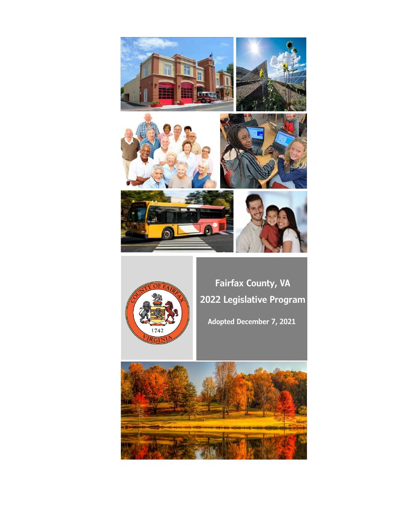



**Fairfax County, VA 2022 Legislative Program**

**Adopted December 7, 2021**

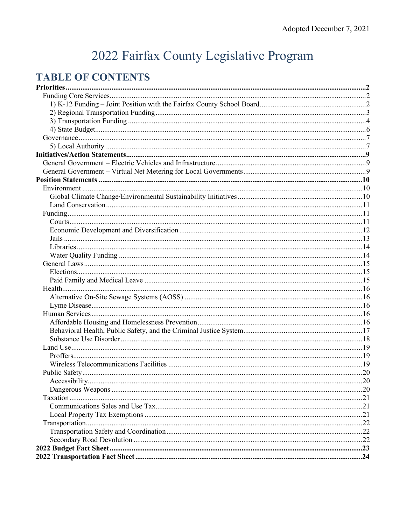# 2022 Fairfax County Legislative Program

## **TABLE OF CONTENTS**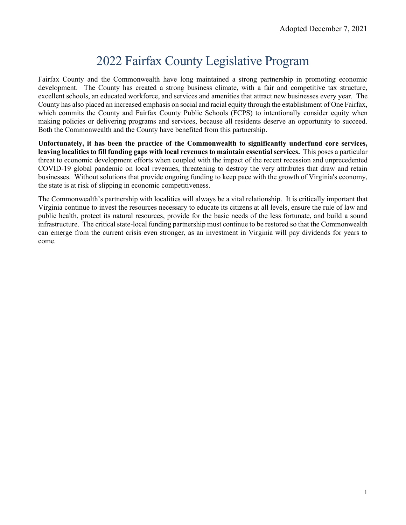## 2022 Fairfax County Legislative Program

Fairfax County and the Commonwealth have long maintained a strong partnership in promoting economic development. The County has created a strong business climate, with a fair and competitive tax structure. excellent schools, an educated workforce, and services and amenities that attract new businesses every year. The County has also placed an increased emphasis on social and racial equity through the establishment of One Fairfax, which commits the County and Fairfax County Public Schools (FCPS) to intentionally consider equity when making policies or delivering programs and services, because all residents deserve an opportunity to succeed. Both the Commonwealth and the County have benefited from this partnership.

**Unfortunately, it has been the practice of the Commonwealth to significantly underfund core services, leaving localities to fill funding gaps with local revenues to maintain essential services.** This poses a particular threat to economic development efforts when coupled with the impact of the recent recession and unprecedented COVID-19 global pandemic on local revenues, threatening to destroy the very attributes that draw and retain businesses. Without solutions that provide ongoing funding to keep pace with the growth of Virginia's economy, the state is at risk of slipping in economic competitiveness.

The Commonwealth's partnership with localities will always be a vital relationship. It is critically important that Virginia continue to invest the resources necessary to educate its citizens at all levels, ensure the rule of law and public health, protect its natural resources, provide for the basic needs of the less fortunate, and build a sound infrastructure. The critical state-local funding partnership must continue to be restored so that the Commonwealth can emerge from the current crisis even stronger, as an investment in Virginia will pay dividends for years to come.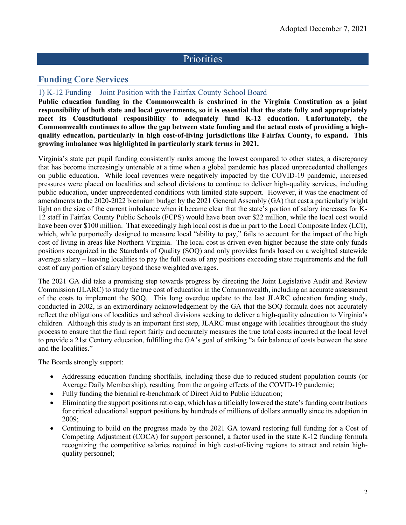## **Priorities**

## <span id="page-3-1"></span><span id="page-3-0"></span>**Funding Core Services**

#### <span id="page-3-2"></span>1) K-12 Funding – Joint Position with the Fairfax County School Board

**Public education funding in the Commonwealth is enshrined in the Virginia Constitution as a joint responsibility of both state and local governments, so it is essential that the state fully and appropriately meet its Constitutional responsibility to adequately fund K-12 education. Unfortunately, the Commonwealth continues to allow the gap between state funding and the actual costs of providing a highquality education, particularly in high cost-of-living jurisdictions like Fairfax County, to expand. This growing imbalance was highlighted in particularly stark terms in 2021.**

Virginia's state per pupil funding consistently ranks among the lowest compared to other states, a discrepancy that has become increasingly untenable at a time when a global pandemic has placed unprecedented challenges on public education. While local revenues were negatively impacted by the COVID-19 pandemic, increased pressures were placed on localities and school divisions to continue to deliver high-quality services, including public education, under unprecedented conditions with limited state support. However, it was the enactment of amendments to the 2020-2022 biennium budget by the 2021 General Assembly (GA) that cast a particularly bright light on the size of the current imbalance when it became clear that the state's portion of salary increases for K-12 staff in Fairfax County Public Schools (FCPS) would have been over \$22 million, while the local cost would have been over \$100 million. That exceedingly high local cost is due in part to the Local Composite Index (LCI), which, while purportedly designed to measure local "ability to pay," fails to account for the impact of the high cost of living in areas like Northern Virginia. The local cost is driven even higher because the state only funds positions recognized in the Standards of Quality (SOQ) and only provides funds based on a weighted statewide average salary – leaving localities to pay the full costs of any positions exceeding state requirements and the full cost of any portion of salary beyond those weighted averages.

The 2021 GA did take a promising step towards progress by directing the Joint Legislative Audit and Review Commission (JLARC) to study the true cost of education in the Commonwealth, including an accurate assessment of the costs to implement the SOQ. This long overdue update to the last JLARC education funding study, conducted in 2002, is an extraordinary acknowledgement by the GA that the SOQ formula does not accurately reflect the obligations of localities and school divisions seeking to deliver a high-quality education to Virginia's children. Although this study is an important first step, JLARC must engage with localities throughout the study process to ensure that the final report fairly and accurately measures the true total costs incurred at the local level to provide a 21st Century education, fulfilling the GA's goal of striking "a fair balance of costs between the state and the localities."

The Boards strongly support:

- Addressing education funding shortfalls, including those due to reduced student population counts (or Average Daily Membership), resulting from the ongoing effects of the COVID-19 pandemic;
- Fully funding the biennial re-benchmark of Direct Aid to Public Education;
- Eliminating the support positions ratio cap, which has artificially lowered the state's funding contributions for critical educational support positions by hundreds of millions of dollars annually since its adoption in 2009;
- Continuing to build on the progress made by the 2021 GA toward restoring full funding for a Cost of Competing Adjustment (COCA) for support personnel, a factor used in the state K-12 funding formula recognizing the competitive salaries required in high cost-of-living regions to attract and retain highquality personnel;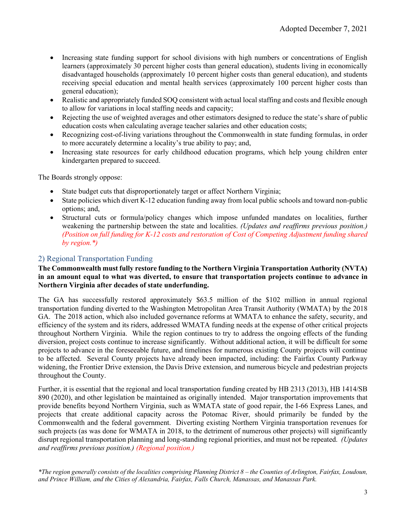- Increasing state funding support for school divisions with high numbers or concentrations of English learners (approximately 30 percent higher costs than general education), students living in economically disadvantaged households (approximately 10 percent higher costs than general education), and students receiving special education and mental health services (approximately 100 percent higher costs than general education);
- Realistic and appropriately funded SOO consistent with actual local staffing and costs and flexible enough to allow for variations in local staffing needs and capacity;
- Rejecting the use of weighted averages and other estimators designed to reduce the state's share of public education costs when calculating average teacher salaries and other education costs;
- Recognizing cost-of-living variations throughout the Commonwealth in state funding formulas, in order to more accurately determine a locality's true ability to pay; and,
- Increasing state resources for early childhood education programs, which help young children enter kindergarten prepared to succeed.

The Boards strongly oppose:

- State budget cuts that disproportionately target or affect Northern Virginia;
- State policies which divert K-12 education funding away from local public schools and toward non-public options; and,
- Structural cuts or formula/policy changes which impose unfunded mandates on localities, further weakening the partnership between the state and localities. *(Updates and reaffirms previous position.) (Position on full funding for K-12 costs and restoration of Cost of Competing Adjustment funding shared by region.\*)*

### <span id="page-4-0"></span>2) Regional Transportation Funding

#### **The Commonwealth must fully restore funding to the Northern Virginia Transportation Authority (NVTA) in an amount equal to what was diverted, to ensure that transportation projects continue to advance in Northern Virginia after decades of state underfunding.**

The GA has successfully restored approximately \$63.5 million of the \$102 million in annual regional transportation funding diverted to the Washington Metropolitan Area Transit Authority (WMATA) by the 2018 GA. The 2018 action, which also included governance reforms at WMATA to enhance the safety, security, and efficiency of the system and its riders, addressed WMATA funding needs at the expense of other critical projects throughout Northern Virginia. While the region continues to try to address the ongoing effects of the funding diversion, project costs continue to increase significantly. Without additional action, it will be difficult for some projects to advance in the foreseeable future, and timelines for numerous existing County projects will continue to be affected. Several County projects have already been impacted, including: the Fairfax County Parkway widening, the Frontier Drive extension, the Davis Drive extension, and numerous bicycle and pedestrian projects throughout the County.

Further, it is essential that the regional and local transportation funding created by HB 2313 (2013), HB 1414/SB 890 (2020), and other legislation be maintained as originally intended. Major transportation improvements that provide benefits beyond Northern Virginia, such as WMATA state of good repair, the I-66 Express Lanes, and projects that create additional capacity across the Potomac River, should primarily be funded by the Commonwealth and the federal government. Diverting existing Northern Virginia transportation revenues for such projects (as was done for WMATA in 2018, to the detriment of numerous other projects) will significantly disrupt regional transportation planning and long-standing regional priorities, and must not be repeated. *(Updates and reaffirms previous position.) (Regional position.)*

*\*The region generally consists of the localities comprising Planning District 8 – the Counties of Arlington, Fairfax, Loudoun, and Prince William, and the Cities of Alexandria, Fairfax, Falls Church, Manassas, and Manassas Park.*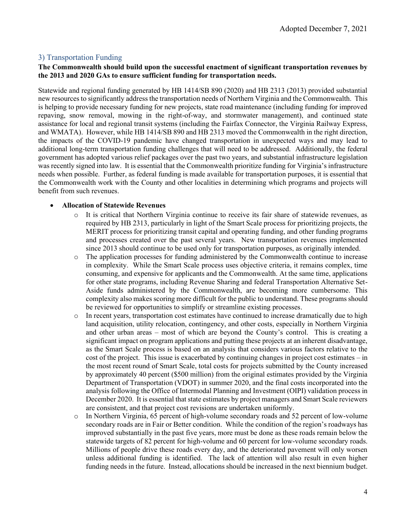#### <span id="page-5-0"></span>3) Transportation Funding

#### **The Commonwealth should build upon the successful enactment of significant transportation revenues by the 2013 and 2020 GAs to ensure sufficient funding for transportation needs.**

Statewide and regional funding generated by HB 1414/SB 890 (2020) and HB 2313 (2013) provided substantial new resources to significantly address the transportation needs of Northern Virginia and the Commonwealth. This is helping to provide necessary funding for new projects, state road maintenance (including funding for improved repaving, snow removal, mowing in the right-of-way, and stormwater management), and continued state assistance for local and regional transit systems (including the Fairfax Connector, the Virginia Railway Express, and WMATA). However, while HB 1414/SB 890 and HB 2313 moved the Commonwealth in the right direction, the impacts of the COVID-19 pandemic have changed transportation in unexpected ways and may lead to additional long-term transportation funding challenges that will need to be addressed. Additionally, the federal government has adopted various relief packages over the past two years, and substantial infrastructure legislation was recently signed into law. It is essential that the Commonwealth prioritize funding for Virginia's infrastructure needs when possible. Further, as federal funding is made available for transportation purposes, it is essential that the Commonwealth work with the County and other localities in determining which programs and projects will benefit from such revenues.

#### • **Allocation of Statewide Revenues**

- o It is critical that Northern Virginia continue to receive its fair share of statewide revenues, as required by HB 2313, particularly in light of the Smart Scale process for prioritizing projects, the MERIT process for prioritizing transit capital and operating funding, and other funding programs and processes created over the past several years. New transportation revenues implemented since 2013 should continue to be used only for transportation purposes, as originally intended.
- o The application processes for funding administered by the Commonwealth continue to increase in complexity. While the Smart Scale process uses objective criteria, it remains complex, time consuming, and expensive for applicants and the Commonwealth. At the same time, applications for other state programs, including Revenue Sharing and federal Transportation Alternative Set-Aside funds administered by the Commonwealth, are becoming more cumbersome. This complexity also makes scoring more difficult for the public to understand. These programs should be reviewed for opportunities to simplify or streamline existing processes.
- o In recent years, transportation cost estimates have continued to increase dramatically due to high land acquisition, utility relocation, contingency, and other costs, especially in Northern Virginia and other urban areas – most of which are beyond the County's control. This is creating a significant impact on program applications and putting these projects at an inherent disadvantage, as the Smart Scale process is based on an analysis that considers various factors relative to the cost of the project. This issue is exacerbated by continuing changes in project cost estimates – in the most recent round of Smart Scale, total costs for projects submitted by the County increased by approximately 40 percent (\$500 million) from the original estimates provided by the Virginia Department of Transportation (VDOT) in summer 2020, and the final costs incorporated into the analysis following the Office of Intermodal Planning and Investment (OIPI) validation process in December 2020. It is essential that state estimates by project managers and Smart Scale reviewers are consistent, and that project cost revisions are undertaken uniformly.
- o In Northern Virginia, 65 percent of high-volume secondary roads and 52 percent of low-volume secondary roads are in Fair or Better condition. While the condition of the region's roadways has improved substantially in the past five years, more must be done as these roads remain below the statewide targets of 82 percent for high-volume and 60 percent for low-volume secondary roads. Millions of people drive these roads every day, and the deteriorated pavement will only worsen unless additional funding is identified. The lack of attention will also result in even higher funding needs in the future. Instead, allocations should be increased in the next biennium budget.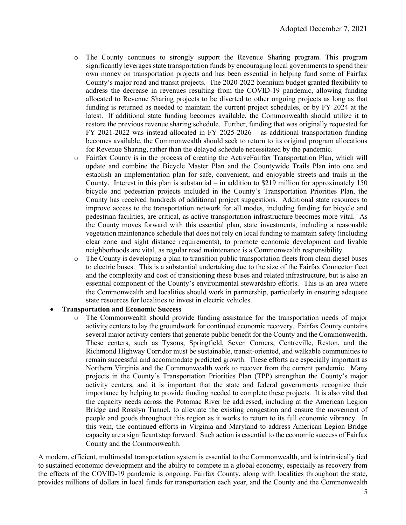- o The County continues to strongly support the Revenue Sharing program. This program significantly leverages state transportation funds by encouraging local governments to spend their own money on transportation projects and has been essential in helping fund some of Fairfax County's major road and transit projects. The 2020-2022 biennium budget granted flexibility to address the decrease in revenues resulting from the COVID-19 pandemic, allowing funding allocated to Revenue Sharing projects to be diverted to other ongoing projects as long as that funding is returned as needed to maintain the current project schedules, or by FY 2024 at the latest. If additional state funding becomes available, the Commonwealth should utilize it to restore the previous revenue sharing schedule. Further, funding that was originally requested for FY 2021-2022 was instead allocated in FY 2025-2026 – as additional transportation funding becomes available, the Commonwealth should seek to return to its original program allocations for Revenue Sharing, rather than the delayed schedule necessitated by the pandemic.
- o Fairfax County is in the process of creating the ActiveFairfax Transportation Plan, which will update and combine the Bicycle Master Plan and the Countywide Trails Plan into one and establish an implementation plan for safe, convenient, and enjoyable streets and trails in the County. Interest in this plan is substantial – in addition to \$219 million for approximately 150 bicycle and pedestrian projects included in the County's Transportation Priorities Plan, the County has received hundreds of additional project suggestions. Additional state resources to improve access to the transportation network for all modes, including funding for bicycle and pedestrian facilities, are critical, as active transportation infrastructure becomes more vital. As the County moves forward with this essential plan, state investments, including a reasonable vegetation maintenance schedule that does not rely on local funding to maintain safety (including clear zone and sight distance requirements), to promote economic development and livable neighborhoods are vital, as regular road maintenance is a Commonwealth responsibility.
- o The County is developing a plan to transition public transportation fleets from clean diesel buses to electric buses. This is a substantial undertaking due to the size of the Fairfax Connector fleet and the complexity and cost of transitioning these buses and related infrastructure, but is also an essential component of the County's environmental stewardship efforts. This is an area where the Commonwealth and localities should work in partnership, particularly in ensuring adequate state resources for localities to invest in electric vehicles.

#### • **Transportation and Economic Success**

o The Commonwealth should provide funding assistance for the transportation needs of major activity centers to lay the groundwork for continued economic recovery. Fairfax County contains several major activity centers that generate public benefit for the County and the Commonwealth. These centers, such as Tysons, Springfield, Seven Corners, Centreville, Reston, and the Richmond Highway Corridor must be sustainable, transit-oriented, and walkable communities to remain successful and accommodate predicted growth. These efforts are especially important as Northern Virginia and the Commonwealth work to recover from the current pandemic. Many projects in the County's Transportation Priorities Plan (TPP) strengthen the County's major activity centers, and it is important that the state and federal governments recognize their importance by helping to provide funding needed to complete these projects. It is also vital that the capacity needs across the Potomac River be addressed, including at the American Legion Bridge and Rosslyn Tunnel, to alleviate the existing congestion and ensure the movement of people and goods throughout this region as it works to return to its full economic vibrancy. In this vein, the continued efforts in Virginia and Maryland to address American Legion Bridge capacity are a significant step forward. Such action is essential to the economic success of Fairfax County and the Commonwealth.

A modern, efficient, multimodal transportation system is essential to the Commonwealth, and is intrinsically tied to sustained economic development and the ability to compete in a global economy, especially as recovery from the effects of the COVID-19 pandemic is ongoing. Fairfax County, along with localities throughout the state, provides millions of dollars in local funds for transportation each year, and the County and the Commonwealth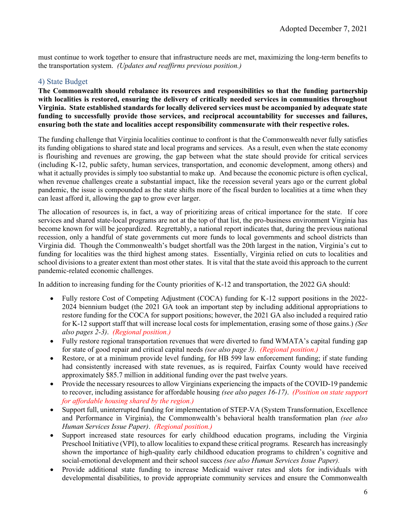must continue to work together to ensure that infrastructure needs are met, maximizing the long-term benefits to the transportation system. *(Updates and reaffirms previous position.)*

#### <span id="page-7-0"></span>4) State Budget

**The Commonwealth should rebalance its resources and responsibilities so that the funding partnership with localities is restored, ensuring the delivery of critically needed services in communities throughout Virginia. State established standards for locally delivered services must be accompanied by adequate state funding to successfully provide those services, and reciprocal accountability for successes and failures, ensuring both the state and localities accept responsibility commensurate with their respective roles.**

The funding challenge that Virginia localities continue to confront is that the Commonwealth never fully satisfies its funding obligations to shared state and local programs and services. As a result, even when the state economy is flourishing and revenues are growing, the gap between what the state should provide for critical services (including K-12, public safety, human services, transportation, and economic development, among others) and what it actually provides is simply too substantial to make up. And because the economic picture is often cyclical, when revenue challenges create a substantial impact, like the recession several years ago or the current global pandemic, the issue is compounded as the state shifts more of the fiscal burden to localities at a time when they can least afford it, allowing the gap to grow ever larger.

The allocation of resources is, in fact, a way of prioritizing areas of critical importance for the state. If core services and shared state-local programs are not at the top of that list, the pro-business environment Virginia has become known for will be jeopardized. Regrettably, a national report indicates that, during the previous national recession, only a handful of state governments cut more funds to local governments and school districts than Virginia did. Though the Commonwealth's budget shortfall was the 20th largest in the nation, Virginia's cut to funding for localities was the third highest among states. Essentially, Virginia relied on cuts to localities and school divisions to a greater extent than most other states. It is vital that the state avoid this approach to the current pandemic-related economic challenges.

In addition to increasing funding for the County priorities of K-12 and transportation, the 2022 GA should:

- Fully restore Cost of Competing Adjustment (COCA) funding for K-12 support positions in the 2022-2024 biennium budget (the 2021 GA took an important step by including additional appropriations to restore funding for the COCA for support positions; however, the 2021 GA also included a required ratio for K-12 support staff that will increase local costs for implementation, erasing some of those gains.) *(See also pages 2-3)*. *(Regional position.)*
- Fully restore regional transportation revenues that were diverted to fund WMATA's capital funding gap for state of good repair and critical capital needs *(see also page 3)*. *(Regional position.)*
- Restore, or at a minimum provide level funding, for HB 599 law enforcement funding; if state funding had consistently increased with state revenues, as is required, Fairfax County would have received approximately \$85.7 million in additional funding over the past twelve years.
- Provide the necessary resources to allow Virginians experiencing the impacts of the COVID-19 pandemic to recover, including assistance for affordable housing *(see also pages 16-17)*. *(Position on state support for affordable housing shared by the region.)*
- Support full, uninterrupted funding for implementation of STEP-VA (System Transformation, Excellence and Performance in Virginia), the Commonwealth's behavioral health transformation plan *(see also Human Services Issue Paper)*. *(Regional position.)*
- Support increased state resources for early childhood education programs, including the Virginia Preschool Initiative (VPI), to allow localities to expand these critical programs. Research has increasingly shown the importance of high-quality early childhood education programs to children's cognitive and social-emotional development and their school success *(see also Human Services Issue Paper).*
- Provide additional state funding to increase Medicaid waiver rates and slots for individuals with developmental disabilities, to provide appropriate community services and ensure the Commonwealth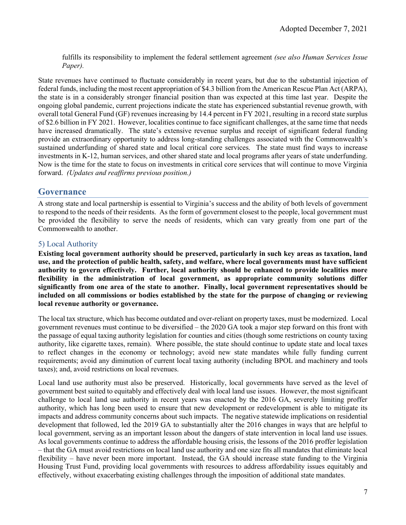fulfills its responsibility to implement the federal settlement agreement *(see also Human Services Issue Paper).*

State revenues have continued to fluctuate considerably in recent years, but due to the substantial injection of federal funds, including the most recent appropriation of \$4.3 billion from the American Rescue Plan Act (ARPA), the state is in a considerably stronger financial position than was expected at this time last year. Despite the ongoing global pandemic, current projections indicate the state has experienced substantial revenue growth, with overall total General Fund (GF) revenues increasing by 14.4 percent in FY 2021, resulting in a record state surplus of \$2.6 billion in FY 2021. However, localities continue to face significant challenges, at the same time that needs have increased dramatically. The state's extensive revenue surplus and receipt of significant federal funding provide an extraordinary opportunity to address long-standing challenges associated with the Commonwealth's sustained underfunding of shared state and local critical core services. The state must find ways to increase investments in K-12, human services, and other shared state and local programs after years of state underfunding. Now is the time for the state to focus on investments in critical core services that will continue to move Virginia forward. *(Updates and reaffirms previous position.)*

#### <span id="page-8-0"></span>**Governance**

A strong state and local partnership is essential to Virginia's success and the ability of both levels of government to respond to the needs of their residents. As the form of government closest to the people, local government must be provided the flexibility to serve the needs of residents, which can vary greatly from one part of the Commonwealth to another.

#### <span id="page-8-1"></span>5) Local Authority

**Existing local government authority should be preserved, particularly in such key areas as taxation, land use, and the protection of public health, safety, and welfare, where local governments must have sufficient authority to govern effectively. Further, local authority should be enhanced to provide localities more flexibility in the administration of local government, as appropriate community solutions differ significantly from one area of the state to another. Finally, local government representatives should be included on all commissions or bodies established by the state for the purpose of changing or reviewing local revenue authority or governance.**

The local tax structure, which has become outdated and over-reliant on property taxes, must be modernized. Local government revenues must continue to be diversified – the 2020 GA took a major step forward on this front with the passage of equal taxing authority legislation for counties and cities (though some restrictions on county taxing authority, like cigarette taxes, remain). Where possible, the state should continue to update state and local taxes to reflect changes in the economy or technology; avoid new state mandates while fully funding current requirements; avoid any diminution of current local taxing authority (including BPOL and machinery and tools taxes); and, avoid restrictions on local revenues.

Local land use authority must also be preserved. Historically, local governments have served as the level of government best suited to equitably and effectively deal with local land use issues. However, the most significant challenge to local land use authority in recent years was enacted by the 2016 GA, severely limiting proffer authority, which has long been used to ensure that new development or redevelopment is able to mitigate its impacts and address community concerns about such impacts. The negative statewide implications on residential development that followed, led the 2019 GA to substantially alter the 2016 changes in ways that are helpful to local government, serving as an important lesson about the dangers of state intervention in local land use issues. As local governments continue to address the affordable housing crisis, the lessons of the 2016 proffer legislation – that the GA must avoid restrictions on local land use authority and one size fits all mandates that eliminate local flexibility – have never been more important. Instead, the GA should increase state funding to the Virginia Housing Trust Fund, providing local governments with resources to address affordability issues equitably and effectively, without exacerbating existing challenges through the imposition of additional state mandates.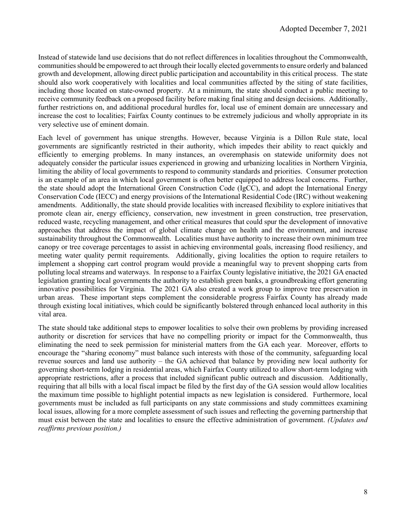Instead of statewide land use decisions that do not reflect differences in localities throughout the Commonwealth, communities should be empowered to act through their locally elected governments to ensure orderly and balanced growth and development, allowing direct public participation and accountability in this critical process. The state should also work cooperatively with localities and local communities affected by the siting of state facilities, including those located on state-owned property. At a minimum, the state should conduct a public meeting to receive community feedback on a proposed facility before making final siting and design decisions. Additionally, further restrictions on, and additional procedural hurdles for, local use of eminent domain are unnecessary and increase the cost to localities; Fairfax County continues to be extremely judicious and wholly appropriate in its very selective use of eminent domain.

Each level of government has unique strengths. However, because Virginia is a Dillon Rule state, local governments are significantly restricted in their authority, which impedes their ability to react quickly and efficiently to emerging problems. In many instances, an overemphasis on statewide uniformity does not adequately consider the particular issues experienced in growing and urbanizing localities in Northern Virginia, limiting the ability of local governments to respond to community standards and priorities. Consumer protection is an example of an area in which local government is often better equipped to address local concerns. Further, the state should adopt the International Green Construction Code (IgCC), and adopt the International Energy Conservation Code (IECC) and energy provisions of the International Residential Code (IRC) without weakening amendments. Additionally, the state should provide localities with increased flexibility to explore initiatives that promote clean air, energy efficiency, conservation, new investment in green construction, tree preservation, reduced waste, recycling management, and other critical measures that could spur the development of innovative approaches that address the impact of global climate change on health and the environment, and increase sustainability throughout the Commonwealth. Localities must have authority to increase their own minimum tree canopy or tree coverage percentages to assist in achieving environmental goals, increasing flood resiliency, and meeting water quality permit requirements. Additionally, giving localities the option to require retailers to implement a shopping cart control program would provide a meaningful way to prevent shopping carts from polluting local streams and waterways. In response to a Fairfax County legislative initiative, the 2021 GA enacted legislation granting local governments the authority to establish green banks, a groundbreaking effort generating innovative possibilities for Virginia. The 2021 GA also created a work group to improve tree preservation in urban areas. These important steps complement the considerable progress Fairfax County has already made through existing local initiatives, which could be significantly bolstered through enhanced local authority in this vital area.

The state should take additional steps to empower localities to solve their own problems by providing increased authority or discretion for services that have no compelling priority or impact for the Commonwealth, thus eliminating the need to seek permission for ministerial matters from the GA each year. Moreover, efforts to encourage the "sharing economy" must balance such interests with those of the community, safeguarding local revenue sources and land use authority – the GA achieved that balance by providing new local authority for governing short-term lodging in residential areas, which Fairfax County utilized to allow short-term lodging with appropriate restrictions, after a process that included significant public outreach and discussion. Additionally, requiring that all bills with a local fiscal impact be filed by the first day of the GA session would allow localities the maximum time possible to highlight potential impacts as new legislation is considered. Furthermore, local governments must be included as full participants on any state commissions and study committees examining local issues, allowing for a more complete assessment of such issues and reflecting the governing partnership that must exist between the state and localities to ensure the effective administration of government. *(Updates and reaffirms previous position.)*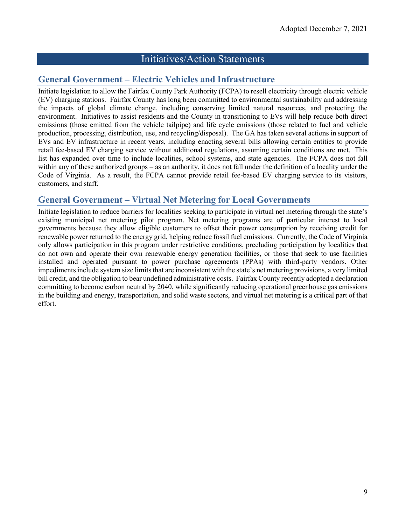## Initiatives/Action Statements

## <span id="page-10-1"></span><span id="page-10-0"></span>**General Government – Electric Vehicles and Infrastructure**

Initiate legislation to allow the Fairfax County Park Authority (FCPA) to resell electricity through electric vehicle (EV) charging stations. Fairfax County has long been committed to environmental sustainability and addressing the impacts of global climate change, including conserving limited natural resources, and protecting the environment. Initiatives to assist residents and the County in transitioning to EVs will help reduce both direct emissions (those emitted from the vehicle tailpipe) and life cycle emissions (those related to fuel and vehicle production, processing, distribution, use, and recycling/disposal). The GA has taken several actions in support of EVs and EV infrastructure in recent years, including enacting several bills allowing certain entities to provide retail fee-based EV charging service without additional regulations, assuming certain conditions are met. This list has expanded over time to include localities, school systems, and state agencies. The FCPA does not fall within any of these authorized groups – as an authority, it does not fall under the definition of a locality under the Code of Virginia. As a result, the FCPA cannot provide retail fee-based EV charging service to its visitors, customers, and staff.

## <span id="page-10-2"></span>**General Government – Virtual Net Metering for Local Governments**

Initiate legislation to reduce barriers for localities seeking to participate in virtual net metering through the state's existing municipal net metering pilot program. Net metering programs are of particular interest to local governments because they allow eligible customers to offset their power consumption by receiving credit for renewable power returned to the energy grid, helping reduce fossil fuel emissions. Currently, the Code of Virginia only allows participation in this program under restrictive conditions, precluding participation by localities that do not own and operate their own renewable energy generation facilities, or those that seek to use facilities installed and operated pursuant to power purchase agreements (PPAs) with third-party vendors. Other impediments include system size limits that are inconsistent with the state's net metering provisions, a very limited bill credit, and the obligation to bear undefined administrative costs. Fairfax County recently adopted a declaration committing to become carbon neutral by 2040, while significantly reducing operational greenhouse gas emissions in the building and energy, transportation, and solid waste sectors, and virtual net metering is a critical part of that effort.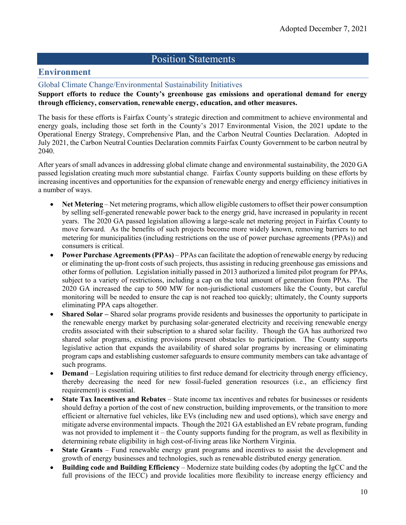## <span id="page-11-0"></span>Position Statements

## <span id="page-11-1"></span>**Environment**

#### <span id="page-11-2"></span>Global Climate Change/Environmental Sustainability Initiatives

**Support efforts to reduce the County's greenhouse gas emissions and operational demand for energy through efficiency, conservation, renewable energy, education, and other measures.**

The basis for these efforts is Fairfax County's strategic direction and commitment to achieve environmental and energy goals, including those set forth in the County's 2017 Environmental Vision, the 2021 update to the Operational Energy Strategy, Comprehensive Plan, and the Carbon Neutral Counties Declaration. Adopted in July 2021, the Carbon Neutral Counties Declaration commits Fairfax County Government to be carbon neutral by 2040.

After years of small advances in addressing global climate change and environmental sustainability, the 2020 GA passed legislation creating much more substantial change. Fairfax County supports building on these efforts by increasing incentives and opportunities for the expansion of renewable energy and energy efficiency initiatives in a number of ways.

- **Net Metering** Net metering programs, which allow eligible customers to offset their power consumption by selling self-generated renewable power back to the energy grid, have increased in popularity in recent years. The 2020 GA passed legislation allowing a large-scale net metering project in Fairfax County to move forward. As the benefits of such projects become more widely known, removing barriers to net metering for municipalities (including restrictions on the use of power purchase agreements (PPAs)) and consumers is critical.
- **Power Purchase Agreements (PPAs)** PPAs can facilitate the adoption of renewable energy by reducing or eliminating the up-front costs of such projects, thus assisting in reducing greenhouse gas emissions and other forms of pollution. Legislation initially passed in 2013 authorized a limited pilot program for PPAs, subject to a variety of restrictions, including a cap on the total amount of generation from PPAs. The 2020 GA increased the cap to 500 MW for non-jurisdictional customers like the County, but careful monitoring will be needed to ensure the cap is not reached too quickly; ultimately, the County supports eliminating PPA caps altogether.
- **Shared Solar** Shared solar programs provide residents and businesses the opportunity to participate in the renewable energy market by purchasing solar-generated electricity and receiving renewable energy credits associated with their subscription to a shared solar facility. Though the GA has authorized two shared solar programs, existing provisions present obstacles to participation. The County supports legislative action that expands the availability of shared solar programs by increasing or eliminating program caps and establishing customer safeguards to ensure community members can take advantage of such programs.
- **Demand** Legislation requiring utilities to first reduce demand for electricity through energy efficiency, thereby decreasing the need for new fossil-fueled generation resources (i.e., an efficiency first requirement) is essential.
- **State Tax Incentives and Rebates** State income tax incentives and rebates for businesses or residents should defray a portion of the cost of new construction, building improvements, or the transition to more efficient or alternative fuel vehicles, like EVs (including new and used options), which save energy and mitigate adverse environmental impacts. Though the 2021 GA established an EV rebate program, funding was not provided to implement it – the County supports funding for the program, as well as flexibility in determining rebate eligibility in high cost-of-living areas like Northern Virginia.
- **State Grants** Fund renewable energy grant programs and incentives to assist the development and growth of energy businesses and technologies, such as renewable distributed energy generation.
- **Building code and Building Efficiency**  Modernize state building codes (by adopting the IgCC and the full provisions of the IECC) and provide localities more flexibility to increase energy efficiency and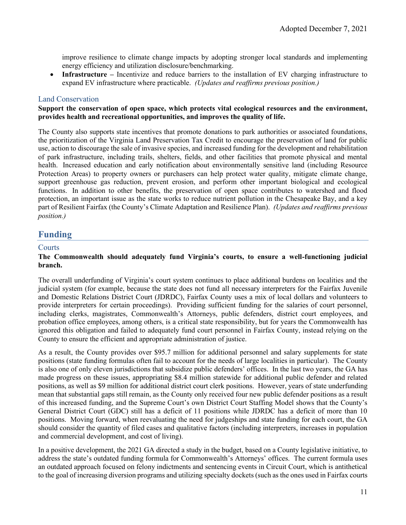improve resilience to climate change impacts by adopting stronger local standards and implementing energy efficiency and utilization disclosure/benchmarking.

• **Infrastructure** – Incentivize and reduce barriers to the installation of EV charging infrastructure to expand EV infrastructure where practicable. *(Updates and reaffirms previous position.)* 

#### <span id="page-12-0"></span>Land Conservation

#### **Support the conservation of open space, which protects vital ecological resources and the environment, provides health and recreational opportunities, and improves the quality of life.**

The County also supports state incentives that promote donations to park authorities or associated foundations, the prioritization of the Virginia Land Preservation Tax Credit to encourage the preservation of land for public use, action to discourage the sale of invasive species, and increased funding for the development and rehabilitation of park infrastructure, including trails, shelters, fields, and other facilities that promote physical and mental health. Increased education and early notification about environmentally sensitive land (including Resource Protection Areas) to property owners or purchasers can help protect water quality, mitigate climate change, support greenhouse gas reduction, prevent erosion, and perform other important biological and ecological functions. In addition to other benefits, the preservation of open space contributes to watershed and flood protection, an important issue as the state works to reduce nutrient pollution in the Chesapeake Bay, and a key part of Resilient Fairfax (the County's Climate Adaptation and Resilience Plan). *(Updates and reaffirms previous position.)* 

### <span id="page-12-1"></span>**Funding**

#### <span id="page-12-2"></span>**Courts**

#### **The Commonwealth should adequately fund Virginia's courts, to ensure a well-functioning judicial branch.**

The overall underfunding of Virginia's court system continues to place additional burdens on localities and the judicial system (for example, because the state does not fund all necessary interpreters for the Fairfax Juvenile and Domestic Relations District Court (JDRDC), Fairfax County uses a mix of local dollars and volunteers to provide interpreters for certain proceedings). Providing sufficient funding for the salaries of court personnel, including clerks, magistrates, Commonwealth's Attorneys, public defenders, district court employees, and probation office employees, among others, is a critical state responsibility, but for years the Commonwealth has ignored this obligation and failed to adequately fund court personnel in Fairfax County, instead relying on the County to ensure the efficient and appropriate administration of justice.

As a result, the County provides over \$95.7 million for additional personnel and salary supplements for state positions (state funding formulas often fail to account for the needs of large localities in particular). The County is also one of only eleven jurisdictions that subsidize public defenders' offices. In the last two years, the GA has made progress on these issues, appropriating \$8.4 million statewide for additional public defender and related positions, as well as \$9 million for additional district court clerk positions. However, years of state underfunding mean that substantial gaps still remain, as the County only received four new public defender positions as a result of this increased funding, and the Supreme Court's own District Court Staffing Model shows that the County's General District Court (GDC) still has a deficit of 11 positions while JDRDC has a deficit of more than 10 positions. Moving forward, when reevaluating the need for judgeships and state funding for each court, the GA should consider the quantity of filed cases and qualitative factors (including interpreters, increases in population and commercial development, and cost of living).

In a positive development, the 2021 GA directed a study in the budget, based on a County legislative initiative, to address the state's outdated funding formula for Commonwealth's Attorneys' offices. The current formula uses an outdated approach focused on felony indictments and sentencing events in Circuit Court, which is antithetical to the goal of increasing diversion programs and utilizing specialty dockets (such as the ones used in Fairfax courts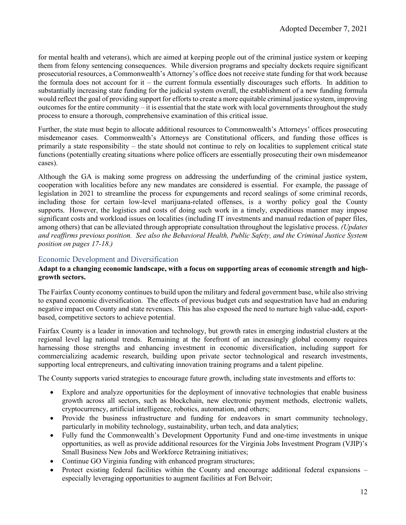for mental health and veterans), which are aimed at keeping people out of the criminal justice system or keeping them from felony sentencing consequences. While diversion programs and specialty dockets require significant prosecutorial resources, a Commonwealth's Attorney's office does not receive state funding for that work because the formula does not account for it – the current formula essentially discourages such efforts. In addition to substantially increasing state funding for the judicial system overall, the establishment of a new funding formula would reflect the goal of providing support for efforts to create a more equitable criminal justice system, improving outcomes for the entire community – it is essential that the state work with local governments throughout the study process to ensure a thorough, comprehensive examination of this critical issue.

Further, the state must begin to allocate additional resources to Commonwealth's Attorneys' offices prosecuting misdemeanor cases. Commonwealth's Attorneys are Constitutional officers, and funding those offices is primarily a state responsibility – the state should not continue to rely on localities to supplement critical state functions (potentially creating situations where police officers are essentially prosecuting their own misdemeanor cases).

Although the GA is making some progress on addressing the underfunding of the criminal justice system, cooperation with localities before any new mandates are considered is essential. For example, the passage of legislation in 2021 to streamline the process for expungements and record sealings of some criminal records, including those for certain low-level marijuana-related offenses, is a worthy policy goal the County supports. However, the logistics and costs of doing such work in a timely, expeditious manner may impose significant costs and workload issues on localities (including IT investments and manual redaction of paper files, among others) that can be alleviated through appropriate consultation throughout the legislative process. *(Updates and reaffirms previous position. See also the Behavioral Health, Public Safety, and the Criminal Justice System position on pages 17-18.)*

#### <span id="page-13-0"></span>Economic Development and Diversification

#### **Adapt to a changing economic landscape, with a focus on supporting areas of economic strength and highgrowth sectors.**

The Fairfax County economy continues to build upon the military and federal government base, while also striving to expand economic diversification. The effects of previous budget cuts and sequestration have had an enduring negative impact on County and state revenues. This has also exposed the need to nurture high value-add, exportbased, competitive sectors to achieve potential.

Fairfax County is a leader in innovation and technology, but growth rates in emerging industrial clusters at the regional level lag national trends. Remaining at the forefront of an increasingly global economy requires harnessing those strengths and enhancing investment in economic diversification, including support for commercializing academic research, building upon private sector technological and research investments, supporting local entrepreneurs, and cultivating innovation training programs and a talent pipeline.

The County supports varied strategies to encourage future growth, including state investments and efforts to:

- Explore and analyze opportunities for the deployment of innovative technologies that enable business growth across all sectors, such as blockchain, new electronic payment methods, electronic wallets, cryptocurrency, artificial intelligence, robotics, automation, and others;
- Provide the business infrastructure and funding for endeavors in smart community technology, particularly in mobility technology, sustainability, urban tech, and data analytics;
- Fully fund the Commonwealth's Development Opportunity Fund and one-time investments in unique opportunities, as well as provide additional resources for the Virginia Jobs Investment Program (VJIP)'s Small Business New Jobs and Workforce Retraining initiatives;
- Continue GO Virginia funding with enhanced program structures;
- Protect existing federal facilities within the County and encourage additional federal expansions especially leveraging opportunities to augment facilities at Fort Belvoir;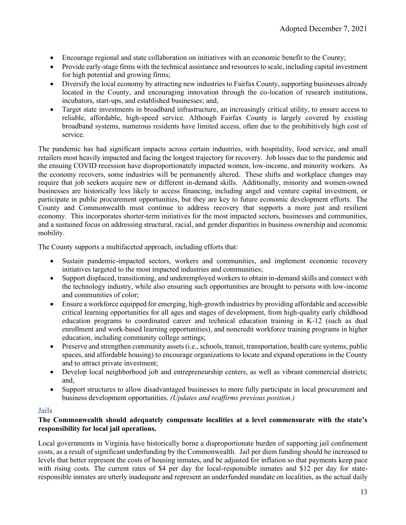- Encourage regional and state collaboration on initiatives with an economic benefit to the County;
- Provide early-stage firms with the technical assistance and resources to scale, including capital investment for high potential and growing firms;
- Diversify the local economy by attracting new industries to Fairfax County, supporting businesses already located in the County, and encouraging innovation through the co-location of research institutions, incubators, start-ups, and established businesses; and,
- Target state investments in broadband infrastructure, an increasingly critical utility, to ensure access to reliable, affordable, high-speed service. Although Fairfax County is largely covered by existing broadband systems, numerous residents have limited access, often due to the prohibitively high cost of service.

The pandemic has had significant impacts across certain industries, with hospitality, food service, and small retailers most heavily impacted and facing the longest trajectory for recovery. Job losses due to the pandemic and the ensuing COVID recession have disproportionately impacted women, low-income, and minority workers. As the economy recovers, some industries will be permanently altered. These shifts and workplace changes may require that job seekers acquire new or different in-demand skills. Additionally, minority and women-owned businesses are historically less likely to access financing, including angel and venture capital investment, or participate in public procurement opportunities, but they are key to future economic development efforts. The County and Commonwealth must continue to address recovery that supports a more just and resilient economy. This incorporates shorter-term initiatives for the most impacted sectors, businesses and communities, and a sustained focus on addressing structural, racial, and gender disparities in business ownership and economic mobility.

The County supports a multifaceted approach, including efforts that:

- Sustain pandemic-impacted sectors, workers and communities, and implement economic recovery initiatives targeted to the most impacted industries and communities;
- Support displaced, transitioning, and underemployed workers to obtain in-demand skills and connect with the technology industry, while also ensuring such opportunities are brought to persons with low-income and communities of color;
- Ensure a workforce equipped for emerging, high-growth industries by providing affordable and accessible critical learning opportunities for all ages and stages of development, from high-quality early childhood education programs to coordinated career and technical education training in K-12 (such as dual enrollment and work-based learning opportunities), and noncredit workforce training programs in higher education, including community college settings;
- Preserve and strengthen community assets (i.e., schools, transit, transportation, health care systems, public spaces, and affordable housing) to encourage organizations to locate and expand operations in the County and to attract private investment;
- Develop local neighborhood job and entrepreneurship centers, as well as vibrant commercial districts; and,
- Support structures to allow disadvantaged businesses to more fully participate in local procurement and business development opportunities. *(Updates and reaffirms previous position.)*

#### <span id="page-14-0"></span>Jails

#### **The Commonwealth should adequately compensate localities at a level commensurate with the state's responsibility for local jail operations.**

Local governments in Virginia have historically borne a disproportionate burden of supporting jail confinement costs, as a result of significant underfunding by the Commonwealth. Jail per diem funding should be increased to levels that better represent the costs of housing inmates, and be adjusted for inflation so that payments keep pace with rising costs. The current rates of \$4 per day for local-responsible inmates and \$12 per day for stateresponsible inmates are utterly inadequate and represent an underfunded mandate on localities, as the actual daily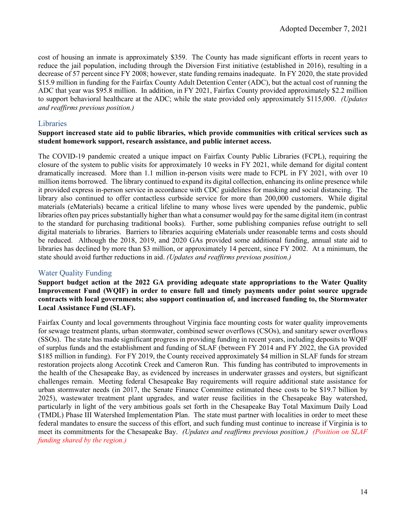cost of housing an inmate is approximately \$359. The County has made significant efforts in recent years to reduce the jail population, including through the Diversion First initiative (established in 2016), resulting in a decrease of 57 percent since FY 2008; however, state funding remains inadequate. In FY 2020, the state provided \$15.9 million in funding for the Fairfax County Adult Detention Center (ADC), but the actual cost of running the ADC that year was \$95.8 million. In addition, in FY 2021, Fairfax County provided approximately \$2.2 million to support behavioral healthcare at the ADC; while the state provided only approximately \$115,000. *(Updates and reaffirms previous position.)*

#### <span id="page-15-0"></span>**Libraries**

#### **Support increased state aid to public libraries, which provide communities with critical services such as student homework support, research assistance, and public internet access.**

The COVID-19 pandemic created a unique impact on Fairfax County Public Libraries (FCPL), requiring the closure of the system to public visits for approximately 10 weeks in FY 2021, while demand for digital content dramatically increased. More than 1.1 million in-person visits were made to FCPL in FY 2021, with over 10 million items borrowed. The library continued to expand its digital collection, enhancing its online presence while it provided express in-person service in accordance with CDC guidelines for masking and social distancing. The library also continued to offer contactless curbside service for more than 200,000 customers. While digital materials (eMaterials) became a critical lifeline to many whose lives were upended by the pandemic, public libraries often pay prices substantially higher than what a consumer would pay for the same digital item (in contrast to the standard for purchasing traditional books). Further, some publishing companies refuse outright to sell digital materials to libraries. Barriers to libraries acquiring eMaterials under reasonable terms and costs should be reduced. Although the 2018, 2019, and 2020 GAs provided some additional funding, annual state aid to libraries has declined by more than \$3 million, or approximately 14 percent, since FY 2002. At a minimum, the state should avoid further reductions in aid. *(Updates and reaffirms previous position.)*

#### <span id="page-15-1"></span>Water Quality Funding

**Support budget action at the 2022 GA providing adequate state appropriations to the Water Quality Improvement Fund (WQIF) in order to ensure full and timely payments under point source upgrade contracts with local governments; also support continuation of, and increased funding to, the Stormwater Local Assistance Fund (SLAF).**

Fairfax County and local governments throughout Virginia face mounting costs for water quality improvements for sewage treatment plants, urban stormwater, combined sewer overflows (CSOs), and sanitary sewer overflows (SSOs). The state has made significant progress in providing funding in recent years, including deposits to WQIF of surplus funds and the establishment and funding of SLAF (between FY 2014 and FY 2022, the GA provided \$185 million in funding). For FY 2019, the County received approximately \$4 million in SLAF funds for stream restoration projects along Accotink Creek and Cameron Run. This funding has contributed to improvements in the health of the Chesapeake Bay, as evidenced by increases in underwater grasses and oysters, but significant challenges remain. Meeting federal Chesapeake Bay requirements will require additional state assistance for urban stormwater needs (in 2017, the Senate Finance Committee estimated these costs to be \$19.7 billion by 2025), wastewater treatment plant upgrades, and water reuse facilities in the Chesapeake Bay watershed, particularly in light of the very ambitious goals set forth in the Chesapeake Bay Total Maximum Daily Load (TMDL) Phase III Watershed Implementation Plan. The state must partner with localities in order to meet these federal mandates to ensure the success of this effort, and such funding must continue to increase if Virginia is to meet its commitments for the Chesapeake Bay. *(Updates and reaffirms previous position.) (Position on SLAF funding shared by the region.)*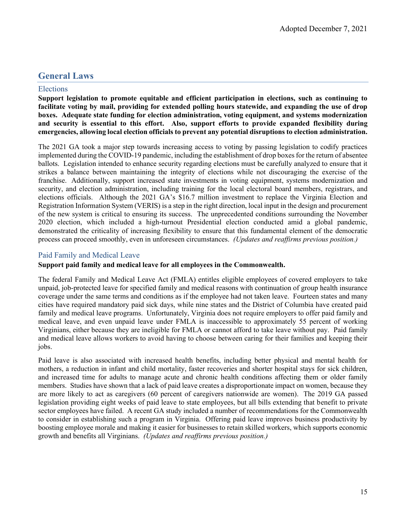## <span id="page-16-0"></span>**General Laws**

#### <span id="page-16-1"></span>Elections

**Support legislation to promote equitable and efficient participation in elections, such as continuing to facilitate voting by mail, providing for extended polling hours statewide, and expanding the use of drop boxes. Adequate state funding for election administration, voting equipment, and systems modernization and security is essential to this effort. Also, support efforts to provide expanded flexibility during emergencies, allowing local election officials to prevent any potential disruptions to election administration.** 

The 2021 GA took a major step towards increasing access to voting by passing legislation to codify practices implemented during the COVID-19 pandemic, including the establishment of drop boxes for the return of absentee ballots. Legislation intended to enhance security regarding elections must be carefully analyzed to ensure that it strikes a balance between maintaining the integrity of elections while not discouraging the exercise of the franchise. Additionally, support increased state investments in voting equipment, systems modernization and security, and election administration, including training for the local electoral board members, registrars, and elections officials. Although the 2021 GA's \$16.7 million investment to replace the Virginia Election and Registration Information System (VERIS) is a step in the right direction, local input in the design and procurement of the new system is critical to ensuring its success. The unprecedented conditions surrounding the November 2020 election, which included a high-turnout Presidential election conducted amid a global pandemic, demonstrated the criticality of increasing flexibility to ensure that this fundamental element of the democratic process can proceed smoothly, even in unforeseen circumstances. *(Updates and reaffirms previous position.)* 

#### <span id="page-16-2"></span>Paid Family and Medical Leave

#### **Support paid family and medical leave for all employees in the Commonwealth.**

The federal Family and Medical Leave Act (FMLA) entitles eligible employees of covered employers to take unpaid, job-protected leave for specified family and medical reasons with continuation of group health insurance coverage under the same terms and conditions as if the employee had not taken leave. Fourteen states and many cities have required mandatory paid sick days, while nine states and the District of Columbia have created paid family and medical leave programs. Unfortunately, Virginia does not require employers to offer paid family and medical leave, and even unpaid leave under FMLA is inaccessible to approximately 55 percent of working Virginians, either because they are ineligible for FMLA or cannot afford to take leave without pay. Paid family and medical leave allows workers to avoid having to choose between caring for their families and keeping their jobs.

Paid leave is also associated with increased health benefits, including better physical and mental health for mothers, a reduction in infant and child mortality, faster recoveries and shorter hospital stays for sick children, and increased time for adults to manage acute and chronic health conditions affecting them or older family members. Studies have shown that a lack of paid leave creates a disproportionate impact on women, because they are more likely to act as caregivers (60 percent of caregivers nationwide are women). The 2019 GA passed legislation providing eight weeks of paid leave to state employees, but all bills extending that benefit to private sector employees have failed. A recent GA study included a number of recommendations for the Commonwealth to consider in establishing such a program in Virginia. Offering paid leave improves business productivity by boosting employee morale and making it easier for businesses to retain skilled workers, which supports economic growth and benefits all Virginians. *(Updates and reaffirms previous position.)*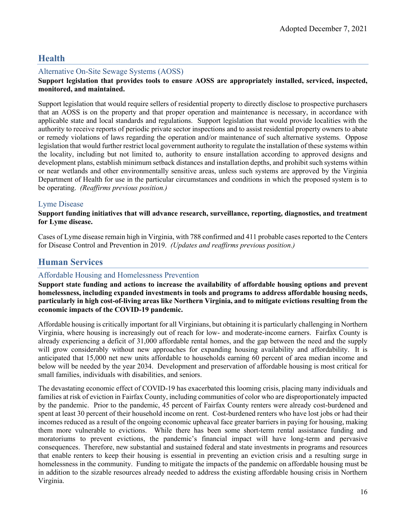## <span id="page-17-0"></span>**Health**

#### <span id="page-17-1"></span>Alternative On-Site Sewage Systems (AOSS)

#### **Support legislation that provides tools to ensure AOSS are appropriately installed, serviced, inspected, monitored, and maintained.**

Support legislation that would require sellers of residential property to directly disclose to prospective purchasers that an AOSS is on the property and that proper operation and maintenance is necessary, in accordance with applicable state and local standards and regulations. Support legislation that would provide localities with the authority to receive reports of periodic private sector inspections and to assist residential property owners to abate or remedy violations of laws regarding the operation and/or maintenance of such alternative systems. Oppose legislation that would further restrict local government authority to regulate the installation of these systems within the locality, including but not limited to, authority to ensure installation according to approved designs and development plans, establish minimum setback distances and installation depths, and prohibit such systems within or near wetlands and other environmentally sensitive areas, unless such systems are approved by the Virginia Department of Health for use in the particular circumstances and conditions in which the proposed system is to be operating. *(Reaffirms previous position.)* 

#### <span id="page-17-2"></span>Lyme Disease

#### **Support funding initiatives that will advance research, surveillance, reporting, diagnostics, and treatment for Lyme disease.**

Cases of Lyme disease remain high in Virginia, with 788 confirmed and 411 probable cases reported to the Centers for Disease Control and Prevention in 2019. *(Updates and reaffirms previous position.)* 

## <span id="page-17-3"></span>**Human Services**

#### <span id="page-17-4"></span>Affordable Housing and Homelessness Prevention

**Support state funding and actions to increase the availability of affordable housing options and prevent homelessness, including expanded investments in tools and programs to address affordable housing needs, particularly in high cost-of-living areas like Northern Virginia, and to mitigate evictions resulting from the economic impacts of the COVID-19 pandemic.**

Affordable housing is critically important for all Virginians, but obtaining it is particularly challenging in Northern Virginia, where housing is increasingly out of reach for low- and moderate-income earners. Fairfax County is already experiencing a deficit of 31,000 affordable rental homes, and the gap between the need and the supply will grow considerably without new approaches for expanding housing availability and affordability. It is anticipated that 15,000 net new units affordable to households earning 60 percent of area median income and below will be needed by the year 2034. Development and preservation of affordable housing is most critical for small families, individuals with disabilities, and seniors.

The devastating economic effect of COVID-19 has exacerbated this looming crisis, placing many individuals and families at risk of eviction in Fairfax County, including communities of color who are disproportionately impacted by the pandemic. Prior to the pandemic, 45 percent of Fairfax County renters were already cost-burdened and spent at least 30 percent of their household income on rent. Cost-burdened renters who have lost jobs or had their incomes reduced as a result of the ongoing economic upheaval face greater barriers in paying for housing, making them more vulnerable to evictions. While there has been some short-term rental assistance funding and moratoriums to prevent evictions, the pandemic's financial impact will have long-term and pervasive consequences. Therefore, new substantial and sustained federal and state investments in programs and resources that enable renters to keep their housing is essential in preventing an eviction crisis and a resulting surge in homelessness in the community. Funding to mitigate the impacts of the pandemic on affordable housing must be in addition to the sizable resources already needed to address the existing affordable housing crisis in Northern Virginia.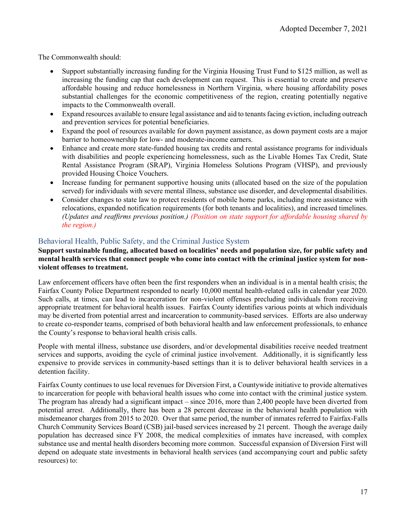The Commonwealth should:

- Support substantially increasing funding for the Virginia Housing Trust Fund to \$125 million, as well as increasing the funding cap that each development can request. This is essential to create and preserve affordable housing and reduce homelessness in Northern Virginia, where housing affordability poses substantial challenges for the economic competitiveness of the region, creating potentially negative impacts to the Commonwealth overall.
- Expand resources available to ensure legal assistance and aid to tenants facing eviction, including outreach and prevention services for potential beneficiaries.
- Expand the pool of resources available for down payment assistance, as down payment costs are a major barrier to homeownership for low- and moderate-income earners.
- Enhance and create more state-funded housing tax credits and rental assistance programs for individuals with disabilities and people experiencing homelessness, such as the Livable Homes Tax Credit, State Rental Assistance Program (SRAP), Virginia Homeless Solutions Program (VHSP), and previously provided Housing Choice Vouchers.
- Increase funding for permanent supportive housing units (allocated based on the size of the population served) for individuals with severe mental illness, substance use disorder, and developmental disabilities.
- Consider changes to state law to protect residents of mobile home parks, including more assistance with relocations, expanded notification requirements (for both tenants and localities), and increased timelines. *(Updates and reaffirms previous position.) (Position on state support for affordable housing shared by the region.)*

#### <span id="page-18-0"></span>Behavioral Health, Public Safety, and the Criminal Justice System

**Support sustainable funding, allocated based on localities' needs and population size, for public safety and mental health services that connect people who come into contact with the criminal justice system for nonviolent offenses to treatment.**

Law enforcement officers have often been the first responders when an individual is in a mental health crisis; the Fairfax County Police Department responded to nearly 10,000 mental health-related calls in calendar year 2020. Such calls, at times, can lead to incarceration for non-violent offenses precluding individuals from receiving appropriate treatment for behavioral health issues. Fairfax County identifies various points at which individuals may be diverted from potential arrest and incarceration to community-based services. Efforts are also underway to create co-responder teams, comprised of both behavioral health and law enforcement professionals, to enhance the County's response to behavioral health crisis calls.

People with mental illness, substance use disorders, and/or developmental disabilities receive needed treatment services and supports, avoiding the cycle of criminal justice involvement. Additionally, it is significantly less expensive to provide services in community-based settings than it is to deliver behavioral health services in a detention facility.

Fairfax County continues to use local revenues for Diversion First, a Countywide initiative to provide alternatives to incarceration for people with behavioral health issues who come into contact with the criminal justice system. The program has already had a significant impact – since 2016, more than 2,400 people have been diverted from potential arrest. Additionally, there has been a 28 percent decrease in the behavioral health population with misdemeanor charges from 2015 to 2020. Over that same period, the number of inmates referred to Fairfax-Falls Church Community Services Board (CSB) jail-based services increased by 21 percent. Though the average daily population has decreased since FY 2008, the medical complexities of inmates have increased, with complex substance use and mental health disorders becoming more common. Successful expansion of Diversion First will depend on adequate state investments in behavioral health services (and accompanying court and public safety resources) to: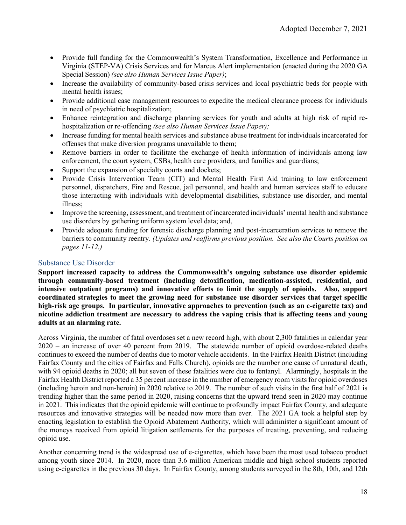- Provide full funding for the Commonwealth's System Transformation, Excellence and Performance in Virginia (STEP-VA) Crisis Services and for Marcus Alert implementation (enacted during the 2020 GA Special Session) *(see also Human Services Issue Paper)*;
- Increase the availability of community-based crisis services and local psychiatric beds for people with mental health issues;
- Provide additional case management resources to expedite the medical clearance process for individuals in need of psychiatric hospitalization;
- Enhance reintegration and discharge planning services for youth and adults at high risk of rapid rehospitalization or re-offending *(see also Human Services Issue Paper);*
- Increase funding for mental health services and substance abuse treatment for individuals incarcerated for offenses that make diversion programs unavailable to them;
- Remove barriers in order to facilitate the exchange of health information of individuals among law enforcement, the court system, CSBs, health care providers, and families and guardians;
- Support the expansion of specialty courts and dockets;
- Provide Crisis Intervention Team (CIT) and Mental Health First Aid training to law enforcement personnel, dispatchers, Fire and Rescue, jail personnel, and health and human services staff to educate those interacting with individuals with developmental disabilities, substance use disorder, and mental illness;
- Improve the screening, assessment, and treatment of incarcerated individuals' mental health and substance use disorders by gathering uniform system level data; and,
- Provide adequate funding for forensic discharge planning and post-incarceration services to remove the barriers to community reentry. *(Updates and reaffirms previous position. See also the Courts position on pages 11-12.)*

#### <span id="page-19-0"></span>Substance Use Disorder

**Support increased capacity to address the Commonwealth's ongoing substance use disorder epidemic through community-based treatment (including detoxification, medication-assisted, residential, and intensive outpatient programs) and innovative efforts to limit the supply of opioids. Also, support coordinated strategies to meet the growing need for substance use disorder services that target specific high-risk age groups. In particular, innovative approaches to prevention (such as an e-cigarette tax) and nicotine addiction treatment are necessary to address the vaping crisis that is affecting teens and young adults at an alarming rate.**

Across Virginia, the number of fatal overdoses set a new record high, with about 2,300 fatalities in calendar year 2020 – an increase of over 40 percent from 2019. The statewide number of opioid overdose-related deaths continues to exceed the number of deaths due to motor vehicle accidents. In the Fairfax Health District (including Fairfax County and the cities of Fairfax and Falls Church), opioids are the number one cause of unnatural death, with 94 opioid deaths in 2020; all but seven of these fatalities were due to fentanyl. Alarmingly, hospitals in the Fairfax Health District reported a 35 percent increase in the number of emergency room visits for opioid overdoses (including heroin and non-heroin) in 2020 relative to 2019. The number of such visits in the first half of 2021 is trending higher than the same period in 2020, raising concerns that the upward trend seen in 2020 may continue in 2021. This indicates that the opioid epidemic will continue to profoundly impact Fairfax County, and adequate resources and innovative strategies will be needed now more than ever. The 2021 GA took a helpful step by enacting legislation to establish the Opioid Abatement Authority, which will administer a significant amount of the moneys received from opioid litigation settlements for the purposes of treating, preventing, and reducing opioid use.

Another concerning trend is the widespread use of e-cigarettes, which have been the most used tobacco product among youth since 2014. In 2020, more than 3.6 million American middle and high school students reported using e-cigarettes in the previous 30 days. In Fairfax County, among students surveyed in the 8th, 10th, and 12th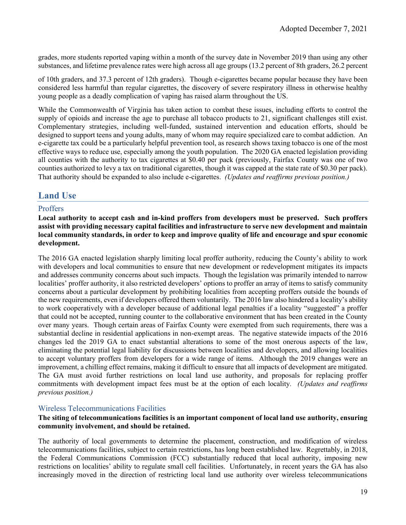grades, more students reported vaping within a month of the survey date in November 2019 than using any other substances, and lifetime prevalence rates were high across all age groups (13.2 percent of 8th graders, 26.2 percent

of 10th graders, and 37.3 percent of 12th graders). Though e-cigarettes became popular because they have been considered less harmful than regular cigarettes, the discovery of severe respiratory illness in otherwise healthy young people as a deadly complication of vaping has raised alarm throughout the US.

While the Commonwealth of Virginia has taken action to combat these issues, including efforts to control the supply of opioids and increase the age to purchase all tobacco products to 21, significant challenges still exist. Complementary strategies, including well-funded, sustained intervention and education efforts, should be designed to support teens and young adults, many of whom may require specialized care to combat addiction. An e-cigarette tax could be a particularly helpful prevention tool, as research shows taxing tobacco is one of the most effective ways to reduce use, especially among the youth population. The 2020 GA enacted legislation providing all counties with the authority to tax cigarettes at \$0.40 per pack (previously, Fairfax County was one of two counties authorized to levy a tax on traditional cigarettes, though it was capped at the state rate of \$0.30 per pack). That authority should be expanded to also include e-cigarettes. *(Updates and reaffirms previous position.)* 

## <span id="page-20-0"></span>**Land Use**

#### <span id="page-20-1"></span>**Proffers**

**Local authority to accept cash and in-kind proffers from developers must be preserved. Such proffers assist with providing necessary capital facilities and infrastructure to serve new development and maintain local community standards, in order to keep and improve quality of life and encourage and spur economic development.**

The 2016 GA enacted legislation sharply limiting local proffer authority, reducing the County's ability to work with developers and local communities to ensure that new development or redevelopment mitigates its impacts and addresses community concerns about such impacts. Though the legislation was primarily intended to narrow localities' proffer authority, it also restricted developers' options to proffer an array of items to satisfy community concerns about a particular development by prohibiting localities from accepting proffers outside the bounds of the new requirements, even if developers offered them voluntarily. The 2016 law also hindered a locality's ability to work cooperatively with a developer because of additional legal penalties if a locality "suggested" a proffer that could not be accepted, running counter to the collaborative environment that has been created in the County over many years. Though certain areas of Fairfax County were exempted from such requirements, there was a substantial decline in residential applications in non-exempt areas. The negative statewide impacts of the 2016 changes led the 2019 GA to enact substantial alterations to some of the most onerous aspects of the law, eliminating the potential legal liability for discussions between localities and developers, and allowing localities to accept voluntary proffers from developers for a wide range of items. Although the 2019 changes were an improvement, a chilling effect remains, making it difficult to ensure that all impacts of development are mitigated. The GA must avoid further restrictions on local land use authority, and proposals for replacing proffer commitments with development impact fees must be at the option of each locality*. (Updates and reaffirms previous position.)*

#### <span id="page-20-2"></span>Wireless Telecommunications Facilities

#### **The siting of telecommunications facilities is an important component of local land use authority, ensuring community involvement, and should be retained.**

The authority of local governments to determine the placement, construction, and modification of wireless telecommunications facilities, subject to certain restrictions, has long been established law. Regrettably, in 2018, the Federal Communications Commission (FCC) substantially reduced that local authority, imposing new restrictions on localities' ability to regulate small cell facilities. Unfortunately, in recent years the GA has also increasingly moved in the direction of restricting local land use authority over wireless telecommunications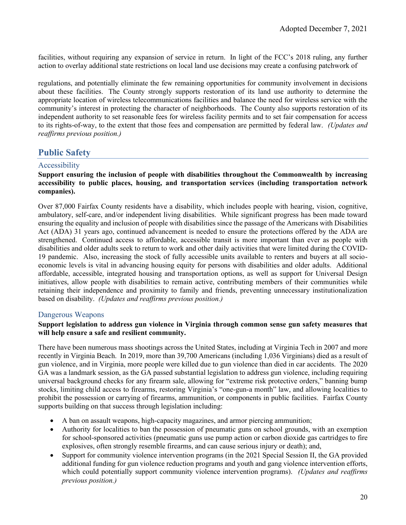facilities, without requiring any expansion of service in return. In light of the FCC's 2018 ruling, any further action to overlay additional state restrictions on local land use decisions may create a confusing patchwork of

regulations, and potentially eliminate the few remaining opportunities for community involvement in decisions about these facilities. The County strongly supports restoration of its land use authority to determine the appropriate location of wireless telecommunications facilities and balance the need for wireless service with the community's interest in protecting the character of neighborhoods. The County also supports restoration of its independent authority to set reasonable fees for wireless facility permits and to set fair compensation for access to its rights-of-way, to the extent that those fees and compensation are permitted by federal law. *(Updates and reaffirms previous position.)*

## <span id="page-21-0"></span>**Public Safety**

#### <span id="page-21-1"></span>Accessibility

#### **Support ensuring the inclusion of people with disabilities throughout the Commonwealth by increasing accessibility to public places, housing, and transportation services (including transportation network companies).**

Over 87,000 Fairfax County residents have a disability, which includes people with hearing, vision, cognitive, ambulatory, self-care, and/or independent living disabilities. While significant progress has been made toward ensuring the equality and inclusion of people with disabilities since the passage of the Americans with Disabilities Act (ADA) 31 years ago, continued advancement is needed to ensure the protections offered by the ADA are strengthened. Continued access to affordable, accessible transit is more important than ever as people with disabilities and older adults seek to return to work and other daily activities that were limited during the COVID-19 pandemic. Also, increasing the stock of fully accessible units available to renters and buyers at all socioeconomic levels is vital in advancing housing equity for persons with disabilities and older adults. Additional affordable, accessible, integrated housing and transportation options, as well as support for Universal Design initiatives, allow people with disabilities to remain active, contributing members of their communities while retaining their independence and proximity to family and friends, preventing unnecessary institutionalization based on disability. *(Updates and reaffirms previous position.)*

#### <span id="page-21-2"></span>Dangerous Weapons

#### **Support legislation to address gun violence in Virginia through common sense gun safety measures that will help ensure a safe and resilient community.**

There have been numerous mass shootings across the United States, including at Virginia Tech in 2007 and more recently in Virginia Beach. In 2019, more than 39,700 Americans (including 1,036 Virginians) died as a result of gun violence, and in Virginia, more people were killed due to gun violence than died in car accidents. The 2020 GA was a landmark session, as the GA passed substantial legislation to address gun violence, including requiring universal background checks for any firearm sale, allowing for "extreme risk protective orders," banning bump stocks, limiting child access to firearms, restoring Virginia's "one-gun-a month" law, and allowing localities to prohibit the possession or carrying of firearms, ammunition, or components in public facilities. Fairfax County supports building on that success through legislation including:

- A ban on assault weapons, high-capacity magazines, and armor piercing ammunition;
- Authority for localities to ban the possession of pneumatic guns on school grounds, with an exemption for school-sponsored activities (pneumatic guns use pump action or carbon dioxide gas cartridges to fire explosives, often strongly resemble firearms, and can cause serious injury or death); and,
- Support for community violence intervention programs (in the 2021 Special Session II, the GA provided additional funding for gun violence reduction programs and youth and gang violence intervention efforts, which could potentially support community violence intervention programs). *(Updates and reaffirms previous position.)*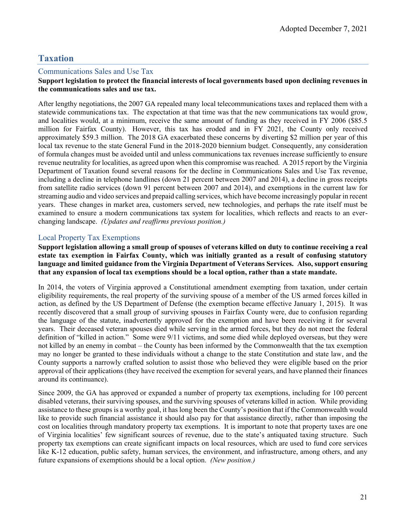## <span id="page-22-0"></span>**Taxation**

#### <span id="page-22-1"></span>Communications Sales and Use Tax

#### **Support legislation to protect the financial interests of local governments based upon declining revenues in the communications sales and use tax.**

After lengthy negotiations, the 2007 GA repealed many local telecommunications taxes and replaced them with a statewide communications tax. The expectation at that time was that the new communications tax would grow, and localities would, at a minimum, receive the same amount of funding as they received in FY 2006 (\$85.5 million for Fairfax County). However, this tax has eroded and in FY 2021, the County only received approximately \$59.3 million. The 2018 GA exacerbated these concerns by diverting \$2 million per year of this local tax revenue to the state General Fund in the 2018-2020 biennium budget. Consequently, any consideration of formula changes must be avoided until and unless communications tax revenues increase sufficiently to ensure revenue neutrality for localities, as agreed upon when this compromise was reached. A 2015 report by the Virginia Department of Taxation found several reasons for the decline in Communications Sales and Use Tax revenue, including a decline in telephone landlines (down 21 percent between 2007 and 2014), a decline in gross receipts from satellite radio services (down 91 percent between 2007 and 2014), and exemptions in the current law for streaming audio and video services and prepaid calling services, which have become increasingly popular in recent years. These changes in market area, customers served, new technologies, and perhaps the rate itself must be examined to ensure a modern communications tax system for localities, which reflects and reacts to an everchanging landscape. *(Updates and reaffirms previous position.)* 

#### <span id="page-22-2"></span>Local Property Tax Exemptions

**Support legislation allowing a small group of spouses of veterans killed on duty to continue receiving a real estate tax exemption in Fairfax County, which was initially granted as a result of confusing statutory language and limited guidance from the Virginia Department of Veterans Services. Also, support ensuring that any expansion of local tax exemptions should be a local option, rather than a state mandate.**

In 2014, the voters of Virginia approved a Constitutional amendment exempting from taxation, under certain eligibility requirements, the real property of the surviving spouse of a member of the US armed forces killed in action, as defined by the US Department of Defense (the exemption became effective January 1, 2015). It was recently discovered that a small group of surviving spouses in Fairfax County were, due to confusion regarding the language of the statute, inadvertently approved for the exemption and have been receiving it for several years. Their deceased veteran spouses died while serving in the armed forces, but they do not meet the federal definition of "killed in action." Some were 9/11 victims, and some died while deployed overseas, but they were not killed by an enemy in combat – the County has been informed by the Commonwealth that the tax exemption may no longer be granted to these individuals without a change to the state Constitution and state law, and the County supports a narrowly crafted solution to assist those who believed they were eligible based on the prior approval of their applications (they have received the exemption for several years, and have planned their finances around its continuance).

Since 2009, the GA has approved or expanded a number of property tax exemptions, including for 100 percent disabled veterans, their surviving spouses, and the surviving spouses of veterans killed in action. While providing assistance to these groups is a worthy goal, it has long been the County's position that if the Commonwealth would like to provide such financial assistance it should also pay for that assistance directly, rather than imposing the cost on localities through mandatory property tax exemptions. It is important to note that property taxes are one of Virginia localities' few significant sources of revenue, due to the state's antiquated taxing structure. Such property tax exemptions can create significant impacts on local resources, which are used to fund core services like K-12 education, public safety, human services, the environment, and infrastructure, among others, and any future expansions of exemptions should be a local option. *(New position.)*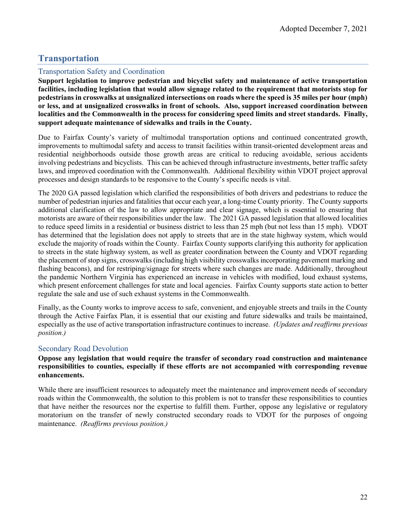## <span id="page-23-0"></span>**Transportation**

#### <span id="page-23-1"></span>Transportation Safety and Coordination

**Support legislation to improve pedestrian and bicyclist safety and maintenance of active transportation facilities, including legislation that would allow signage related to the requirement that motorists stop for pedestrians in crosswalks at unsignalized intersections on roads where the speed is 35 miles per hour (mph) or less, and at unsignalized crosswalks in front of schools. Also, support increased coordination between localities and the Commonwealth in the process for considering speed limits and street standards. Finally, support adequate maintenance of sidewalks and trails in the County.**

Due to Fairfax County's variety of multimodal transportation options and continued concentrated growth, improvements to multimodal safety and access to transit facilities within transit-oriented development areas and residential neighborhoods outside those growth areas are critical to reducing avoidable, serious accidents involving pedestrians and bicyclists. This can be achieved through infrastructure investments, better traffic safety laws, and improved coordination with the Commonwealth. Additional flexibility within VDOT project approval processes and design standards to be responsive to the County's specific needs is vital.

The 2020 GA passed legislation which clarified the responsibilities of both drivers and pedestrians to reduce the number of pedestrian injuries and fatalities that occur each year, a long-time County priority. The County supports additional clarification of the law to allow appropriate and clear signage, which is essential to ensuring that motorists are aware of their responsibilities under the law. The 2021 GA passed legislation that allowed localities to reduce speed limits in a residential or business district to less than 25 mph (but not less than 15 mph). VDOT has determined that the legislation does not apply to streets that are in the state highway system, which would exclude the majority of roads within the County. Fairfax County supports clarifying this authority for application to streets in the state highway system, as well as greater coordination between the County and VDOT regarding the placement of stop signs, crosswalks (including high visibility crosswalks incorporating pavement marking and flashing beacons), and for restriping/signage for streets where such changes are made. Additionally, throughout the pandemic Northern Virginia has experienced an increase in vehicles with modified, loud exhaust systems, which present enforcement challenges for state and local agencies. Fairfax County supports state action to better regulate the sale and use of such exhaust systems in the Commonwealth.

Finally, as the County works to improve access to safe, convenient, and enjoyable streets and trails in the County through the Active Fairfax Plan, it is essential that our existing and future sidewalks and trails be maintained, especially as the use of active transportation infrastructure continues to increase. *(Updates and reaffirms previous position.)*

#### <span id="page-23-2"></span>Secondary Road Devolution

#### **Oppose any legislation that would require the transfer of secondary road construction and maintenance responsibilities to counties, especially if these efforts are not accompanied with corresponding revenue enhancements.**

While there are insufficient resources to adequately meet the maintenance and improvement needs of secondary roads within the Commonwealth, the solution to this problem is not to transfer these responsibilities to counties that have neither the resources nor the expertise to fulfill them. Further, oppose any legislative or regulatory moratorium on the transfer of newly constructed secondary roads to VDOT for the purposes of ongoing maintenance. *(Reaffirms previous position.)*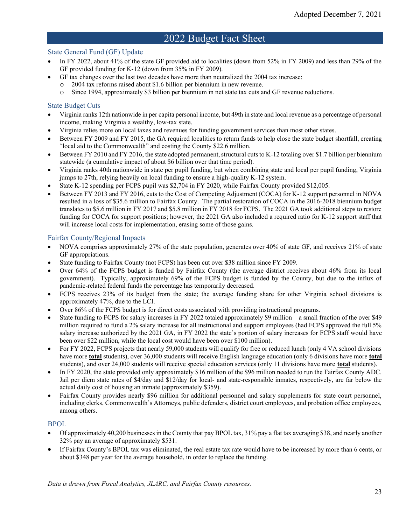## 2022 Budget Fact Sheet

#### <span id="page-24-0"></span>State General Fund (GF) Update

- In FY 2022, about 41% of the state GF provided aid to localities (down from 52% in FY 2009) and less than 29% of the GF provided funding for K-12 (down from 35% in FY 2009).
- GF tax changes over the last two decades have more than neutralized the 2004 tax increase:
	- o 2004 tax reforms raised about \$1.6 billion per biennium in new revenue.
	- o Since 1994, approximately \$3 billion per biennium in net state tax cuts and GF revenue reductions.

#### State Budget Cuts

- Virginia ranks 12th nationwide in per capita personal income, but 49th in state and local revenue as a percentage of personal income, making Virginia a wealthy, low-tax state.
- Virginia relies more on local taxes and revenues for funding government services than most other states.
- Between FY 2009 and FY 2015, the GA required localities to return funds to help close the state budget shortfall, creating "local aid to the Commonwealth" and costing the County \$22.6 million.
- Between FY 2010 and FY 2016, the state adopted permanent, structural cuts to K-12 totaling over \$1.7 billion per biennium statewide (a cumulative impact of about \$6 billion over that time period).
- Virginia ranks 40th nationwide in state per pupil funding, but when combining state and local per pupil funding, Virginia jumps to 27th, relying heavily on local funding to ensure a high-quality K-12 system.
- State K-12 spending per FCPS pupil was \$2,704 in FY 2020, while Fairfax County provided \$12,005.
- Between FY 2013 and FY 2016, cuts to the Cost of Competing Adjustment (COCA) for K-12 support personnel in NOVA resulted in a loss of \$35.6 million to Fairfax County. The partial restoration of COCA in the 2016-2018 biennium budget translates to \$5.6 million in FY 2017 and \$5.8 million in FY 2018 for FCPS. The 2021 GA took additional steps to restore funding for COCA for support positions; however, the 2021 GA also included a required ratio for K-12 support staff that will increase local costs for implementation, erasing some of those gains.

#### Fairfax County/Regional Impacts

- NOVA comprises approximately 27% of the state population, generates over 40% of state GF, and receives 21% of state GF appropriations.
- State funding to Fairfax County (not FCPS) has been cut over \$38 million since FY 2009.
- Over 64% of the FCPS budget is funded by Fairfax County (the average district receives about 46% from its local government). Typically, approximately 69% of the FCPS budget is funded by the County, but due to the influx of pandemic-related federal funds the percentage has temporarily decreased.
- FCPS receives 23% of its budget from the state; the average funding share for other Virginia school divisions is approximately 47%, due to the LCI.
- Over 86% of the FCPS budget is for direct costs associated with providing instructional programs.
- State funding to FCPS for salary increases in FY 2022 totaled approximately \$9 million a small fraction of the over \$49 million required to fund a 2% salary increase for all instructional and support employees (had FCPS approved the full 5% salary increase authorized by the 2021 GA, in FY 2022 the state's portion of salary increases for FCPS staff would have been over \$22 million, while the local cost would have been over \$100 million).
- For FY 2022, FCPS projects that nearly 59,000 students will qualify for free or reduced lunch (only 4 VA school divisions have more **total** students), over 36,000 students will receive English language education (only 6 divisions have more **total** students), and over 24,000 students will receive special education services (only 11 divisions have more **total** students).
- In FY 2020, the state provided only approximately \$16 million of the \$96 million needed to run the Fairfax County ADC. Jail per diem state rates of \$4/day and \$12/day for local- and state-responsible inmates, respectively, are far below the actual daily cost of housing an inmate (approximately \$359).
- Fairfax County provides nearly \$96 million for additional personnel and salary supplements for state court personnel, including clerks, Commonwealth's Attorneys, public defenders, district court employees, and probation office employees, among others.

#### BPOL

- Of approximately 40,200 businesses in the County that pay BPOL tax, 31% pay a flat tax averaging \$38, and nearly another 32% pay an average of approximately \$531.
- If Fairfax County's BPOL tax was eliminated, the real estate tax rate would have to be increased by more than 6 cents, or about \$348 per year for the average household, in order to replace the funding.

*Data is drawn from Fiscal Analytics, JLARC, and Fairfax County resources.*